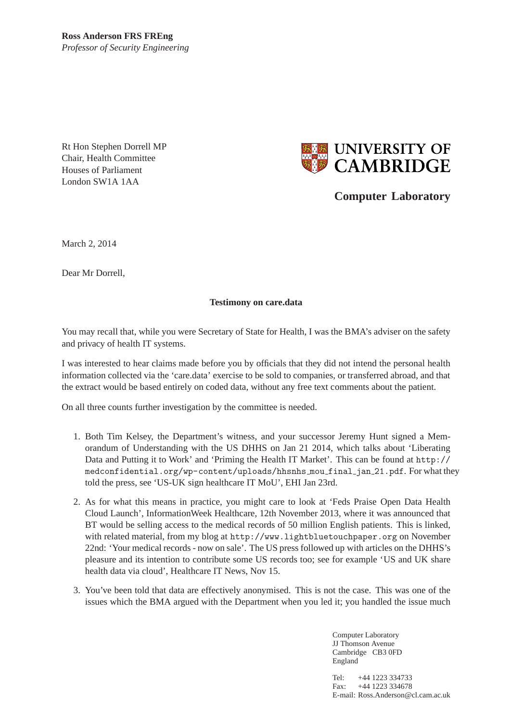Rt Hon Stephen Dorrell MP Chair, Health Committee Houses of Parliament London SW1A 1AA



**Computer Laboratory**

March 2, 2014

Dear Mr Dorrell,

## **Testimony on care.data**

You may recall that, while you were Secretary of State for Health, I was the BMA's adviser on the safety and privacy of health IT systems.

I was interested to hear claims made before you by officials that they did not intend the personal health information collected via the 'care.data' exercise to be sold to companies, or transferred abroad, and that the extract would be based entirely on coded data, without any free text comments about the patient.

On all three counts further investigation by the committee is needed.

- 1. Both Tim Kelsey, the Department's witness, and your successor Jeremy Hunt signed a Memorandum of Understanding with the US DHHS on Jan 21 2014, which talks about 'Liberating Data and Putting it to Work' and 'Priming the Health IT Market'. This can be found at http:// medconfidential.org/wp-content/uploads/hhsnhs mou final jan 21.pdf. For what they told the press, see 'US-UK sign healthcare IT MoU', EHI Jan 23rd.
- 2. As for what this means in practice, you might care to look at 'Feds Praise Open Data Health Cloud Launch', InformationWeek Healthcare, 12th November 2013, where it was announced that BT would be selling access to the medical records of 50 million English patients. This is linked, with related material, from my blog at http://www.lightbluetouchpaper.org on November 22nd: 'Your medical records - now on sale'. The US press followed up with articles on the DHHS's pleasure and its intention to contribute some US records too; see for example 'US and UK share health data via cloud', Healthcare IT News, Nov 15.
- 3. You've been told that data are effectively anonymised. This is not the case. This was one of the issues which the BMA argued with the Department when you led it; you handled the issue much

Computer Laboratory JJ Thomson Avenue Cambridge CB3 0FD England

Tel: +44 1223 334733 Fax: +44 1223 334678 E-mail: Ross.Anderson@cl.cam.ac.uk